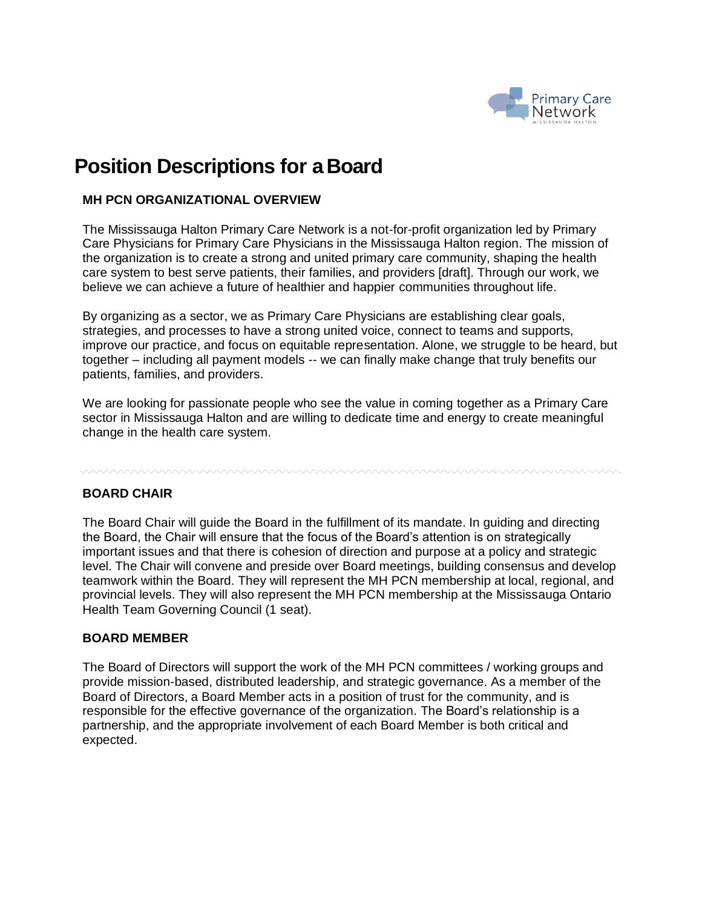

# **Position Descriptions for aBoard**

### **MH PCN ORGANIZATIONAL OVERVIEW**

The Mississauga Halton Primary Care Network is a not-for-profit organization led by Primary Care Physicians for Primary Care Physicians in the Mississauga Halton region. The mission of the organization is to create a strong and united primary care community, shaping the health care system to best serve patients, their families, and providers [draft]. Through our work, we believe we can achieve a future of healthier and happier communities throughout life.

By organizing as a sector, we as Primary Care Physicians are establishing clear goals, strategies, and processes to have a strong united voice, connect to teams and supports, improve our practice, and focus on equitable representation. Alone, we struggle to be heard, but together – including all payment models -- we can finally make change that truly benefits our patients, families, and providers.

We are looking for passionate people who see the value in coming together as a Primary Care sector in Mississauga Halton and are willing to dedicate time and energy to create meaningful change in the health care system.

#### **BOARD CHAIR**

The Board Chair will guide the Board in the fulfillment of its mandate. In guiding and directing the Board, the Chair will ensure that the focus of the Board's attention is on strategically important issues and that there is cohesion of direction and purpose at a policy and strategic level. The Chair will convene and preside over Board meetings, building consensus and develop teamwork within the Board. They will represent the MH PCN membership at local, regional, and provincial levels. They will also represent the MH PCN membership at the Mississauga Ontario Health Team Governing Council (1 seat).

#### **BOARD MEMBER**

The Board of Directors will support the work of the MH PCN committees / working groups and provide mission-based, distributed leadership, and strategic governance. As a member of the Board of Directors, a Board Member acts in a position of trust for the community, and is responsible for the effective governance of the organization. The Board's relationship is a partnership, and the appropriate involvement of each Board Member is both critical and expected.